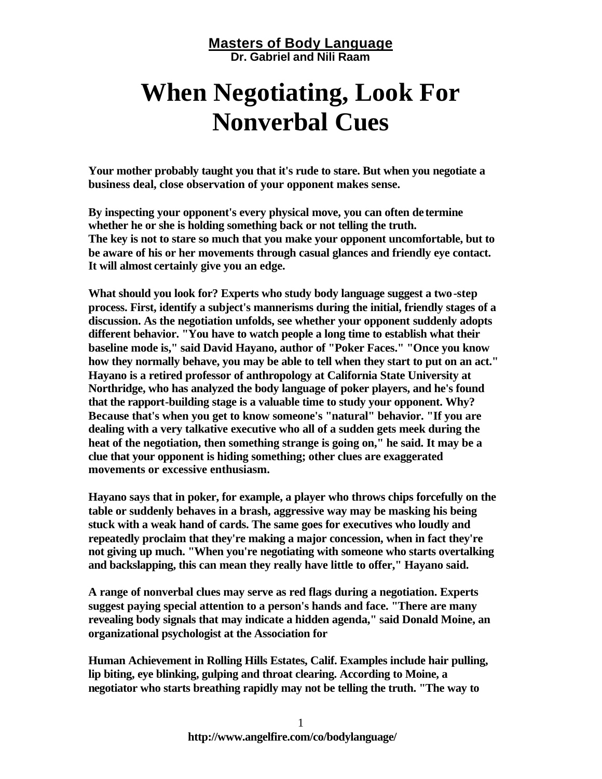# **When Negotiating, Look For Nonverbal Cues**

**Your mother probably taught you that it's rude to stare. But when you negotiate a business deal, close observation of your opponent makes sense.** 

**By inspecting your opponent's every physical move, you can often determine whether he or she is holding something back or not telling the truth. The key is not to stare so much that you make your opponent uncomfortable, but to be aware of his or her movements through casual glances and friendly eye contact. It will almost certainly give you an edge.** 

**What should you look for? Experts who study body language suggest a two-step process. First, identify a subject's mannerisms during the initial, friendly stages of a discussion. As the negotiation unfolds, see whether your opponent suddenly adopts different behavior. "You have to watch people a long time to establish what their baseline mode is," said David Hayano, author of "Poker Faces." "Once you know how they normally behave, you may be able to tell when they start to put on an act." Hayano is a retired professor of anthropology at California State University at Northridge, who has analyzed the body language of poker players, and he's found that the rapport-building stage is a valuable time to study your opponent. Why? Because that's when you get to know someone's "natural" behavior. "If you are dealing with a very talkative executive who all of a sudden gets meek during the heat of the negotiation, then something strange is going on," he said. It may be a clue that your opponent is hiding something; other clues are exaggerated movements or excessive enthusiasm.** 

**Hayano says that in poker, for example, a player who throws chips forcefully on the table or suddenly behaves in a brash, aggressive way may be masking his being stuck with a weak hand of cards. The same goes for executives who loudly and repeatedly proclaim that they're making a major concession, when in fact they're not giving up much. "When you're negotiating with someone who starts overtalking and backslapping, this can mean they really have little to offer," Hayano said.** 

**A range of nonverbal clues may serve as red flags during a negotiation. Experts suggest paying special attention to a person's hands and face. "There are many revealing body signals that may indicate a hidden agenda," said Donald Moine, an organizational psychologist at the Association for** 

**Human Achievement in Rolling Hills Estates, Calif. Examples include hair pulling, lip biting, eye blinking, gulping and throat clearing. According to Moine, a negotiator who starts breathing rapidly may not be telling the truth. "The way to**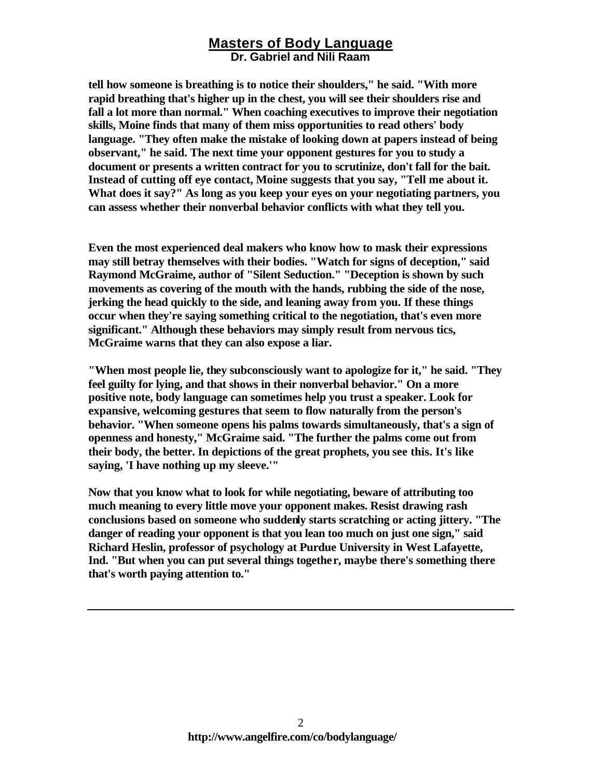**tell how someone is breathing is to notice their shoulders," he said. "With more rapid breathing that's higher up in the chest, you will see their shoulders rise and fall a lot more than normal." When coaching executives to improve their negotiation skills, Moine finds that many of them miss opportunities to read others' body language. "They often make the mistake of looking down at papers instead of being observant," he said. The next time your opponent gestures for you to study a document or presents a written contract for you to scrutinize, don't fall for the bait. Instead of cutting off eye contact, Moine suggests that you say, "Tell me about it. What does it say?" As long as you keep your eyes on your negotiating partners, you can assess whether their nonverbal behavior conflicts with what they tell you.** 

**Even the most experienced deal makers who know how to mask their expressions may still betray themselves with their bodies. "Watch for signs of deception," said Raymond McGraime, author of "Silent Seduction." "Deception is shown by such movements as covering of the mouth with the hands, rubbing the side of the nose, jerking the head quickly to the side, and leaning away from you. If these things occur when they're saying something critical to the negotiation, that's even more significant." Although these behaviors may simply result from nervous tics, McGraime warns that they can also expose a liar.** 

**"When most people lie, they subconsciously want to apologize for it," he said. "They feel guilty for lying, and that shows in their nonverbal behavior." On a more positive note, body language can sometimes help you trust a speaker. Look for expansive, welcoming gestures that seem to flow naturally from the person's behavior. "When someone opens his palms towards simultaneously, that's a sign of openness and honesty," McGraime said. "The further the palms come out from their body, the better. In depictions of the great prophets, you see this. It's like saying, 'I have nothing up my sleeve.'"** 

**Now that you know what to look for while negotiating, beware of attributing too much meaning to every little move your opponent makes. Resist drawing rash conclusions based on someone who suddenly starts scratching or acting jittery. "The danger of reading your opponent is that you lean too much on just one sign," said Richard Heslin, professor of psychology at Purdue University in West Lafayette, Ind. "But when you can put several things together, maybe there's something there that's worth paying attention to."**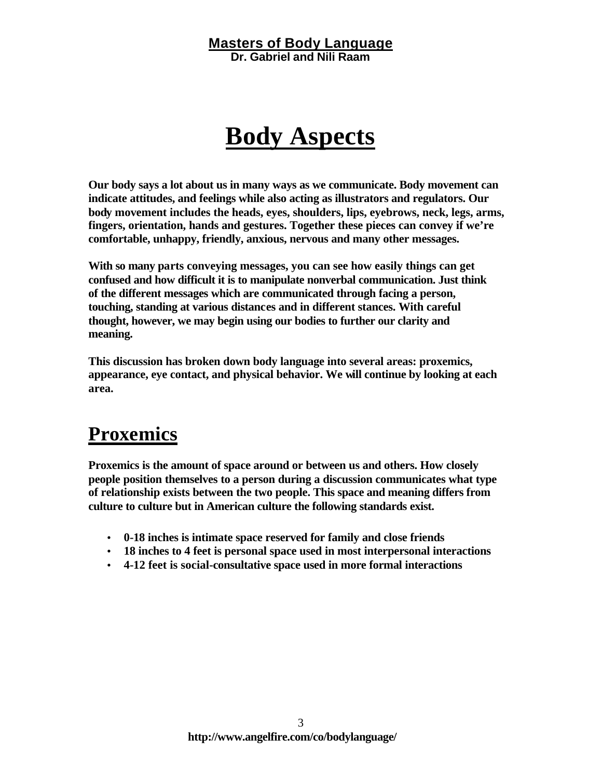# **Body Aspects**

**Our body says a lot about us in many ways as we communicate. Body movement can indicate attitudes, and feelings while also acting as illustrators and regulators. Our body movement includes the heads, eyes, shoulders, lips, eyebrows, neck, legs, arms, fingers, orientation, hands and gestures. Together these pieces can convey if we're comfortable, unhappy, friendly, anxious, nervous and many other messages.**

**With so many parts conveying messages, you can see how easily things can get confused and how difficult it is to manipulate nonverbal communication. Just think of the different messages which are communicated through facing a person, touching, standing at various distances and in different stances. With careful thought, however, we may begin using our bodies to further our clarity and meaning.**

**This discussion has broken down body language into several areas: proxemics, appearance, eye contact, and physical behavior. We will continue by looking at each area.**

### **Proxemics**

**Proxemics is the amount of space around or between us and others. How closely people position themselves to a person during a discussion communicates what type of relationship exists between the two people. This space and meaning differs from culture to culture but in American culture the following standards exist.**

- **0-18 inches is intimate space reserved for family and close friends**
- **18 inches to 4 feet is personal space used in most interpersonal interactions**
- **4-12 feet is social-consultative space used in more formal interactions**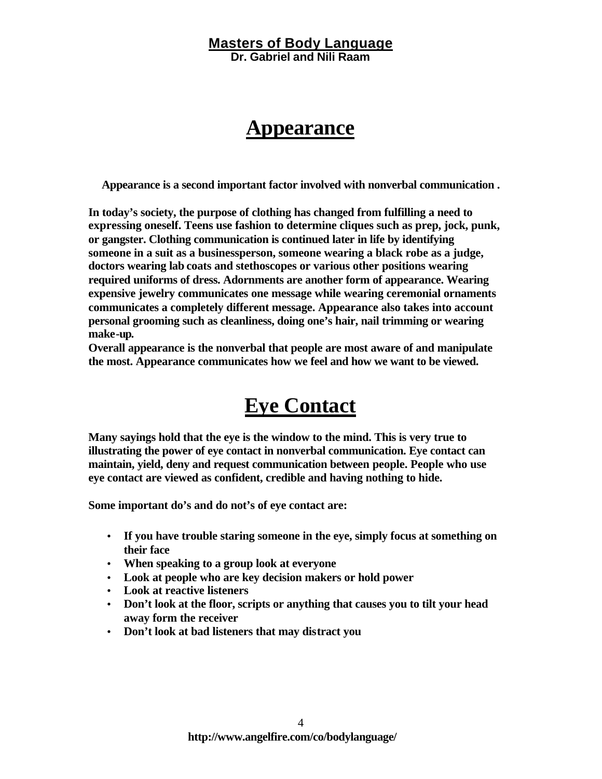### **Appearance**

**Appearance is a second important factor involved with nonverbal communication .**

**In today's society, the purpose of clothing has changed from fulfilling a need to expressing oneself. Teens use fashion to determine cliques such as prep, jock, punk, or gangster. Clothing communication is continued later in life by identifying someone in a suit as a businessperson, someone wearing a black robe as a judge, doctors wearing lab coats and stethoscopes or various other positions wearing required uniforms of dress. Adornments are another form of appearance. Wearing expensive jewelry communicates one message while wearing ceremonial ornaments communicates a completely different message. Appearance also takes into account personal grooming such as cleanliness, doing one's hair, nail trimming or wearing make-up.**

**Overall appearance is the nonverbal that people are most aware of and manipulate the most. Appearance communicates how we feel and how we want to be viewed.**

## **Eye Contact**

**Many sayings hold that the eye is the window to the mind. This is very true to illustrating the power of eye contact in nonverbal communication. Eye contact can maintain, yield, deny and request communication between people. People who use eye contact are viewed as confident, credible and having nothing to hide.**

**Some important do's and do not's of eye contact are:**

- **If you have trouble staring someone in the eye, simply focus at something on their face**
- **When speaking to a group look at everyone**
- **Look at people who are key decision makers or hold power**
- **Look at reactive listeners**
- **Don't look at the floor, scripts or anything that causes you to tilt your head away form the receiver**
- **Don't look at bad listeners that may distract you**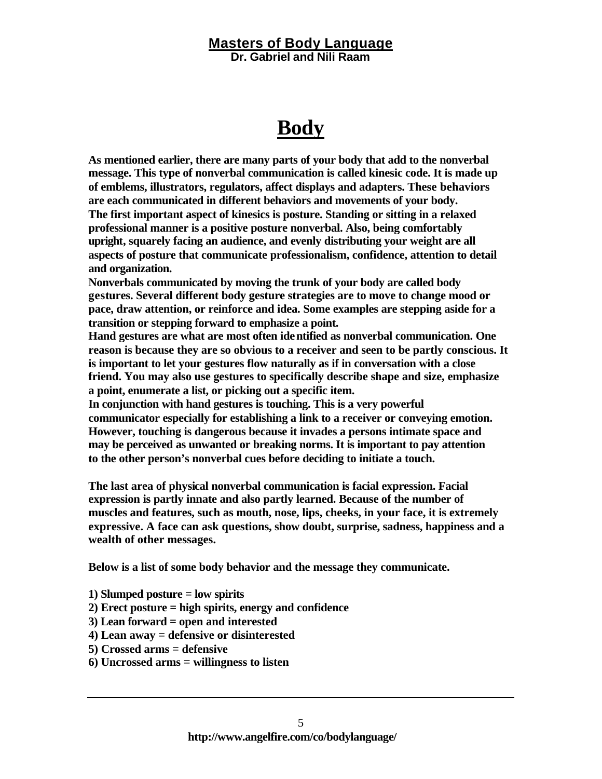### **Body**

**As mentioned earlier, there are many parts of your body that add to the nonverbal message. This type of nonverbal communication is called kinesic code. It is made up of emblems, illustrators, regulators, affect displays and adapters. These behaviors are each communicated in different behaviors and movements of your body. The first important aspect of kinesics is posture. Standing or sitting in a relaxed professional manner is a positive posture nonverbal. Also, being comfortably upright, squarely facing an audience, and evenly distributing your weight are all aspects of posture that communicate professionalism, confidence, attention to detail and organization.** 

**Nonverbals communicated by moving the trunk of your body are called body gestures. Several different body gesture strategies are to move to change mood or pace, draw attention, or reinforce and idea. Some examples are stepping aside for a transition or stepping forward to emphasize a point.**

**Hand gestures are what are most often identified as nonverbal communication. One reason is because they are so obvious to a receiver and seen to be partly conscious. It is important to let your gestures flow naturally as if in conversation with a close friend. You may also use gestures to specifically describe shape and size, emphasize a point, enumerate a list, or picking out a specific item.**

**In conjunction with hand gestures is touching. This is a very powerful communicator especially for establishing a link to a receiver or conveying emotion. However, touching is dangerous because it invades a persons intimate space and may be perceived as unwanted or breaking norms. It is important to pay attention to the other person's nonverbal cues before deciding to initiate a touch.**

**The last area of physical nonverbal communication is facial expression. Facial expression is partly innate and also partly learned. Because of the number of muscles and features, such as mouth, nose, lips, cheeks, in your face, it is extremely expressive. A face can ask questions, show doubt, surprise, sadness, happiness and a wealth of other messages.**

**Below is a list of some body behavior and the message they communicate.**

- **1) Slumped posture = low spirits**
- **2) Erect posture = high spirits, energy and confidence**
- **3) Lean forward = open and interested**
- **4) Lean away = defensive or disinterested**
- **5) Crossed arms = defensive**
- **6) Uncrossed arms = willingness to listen**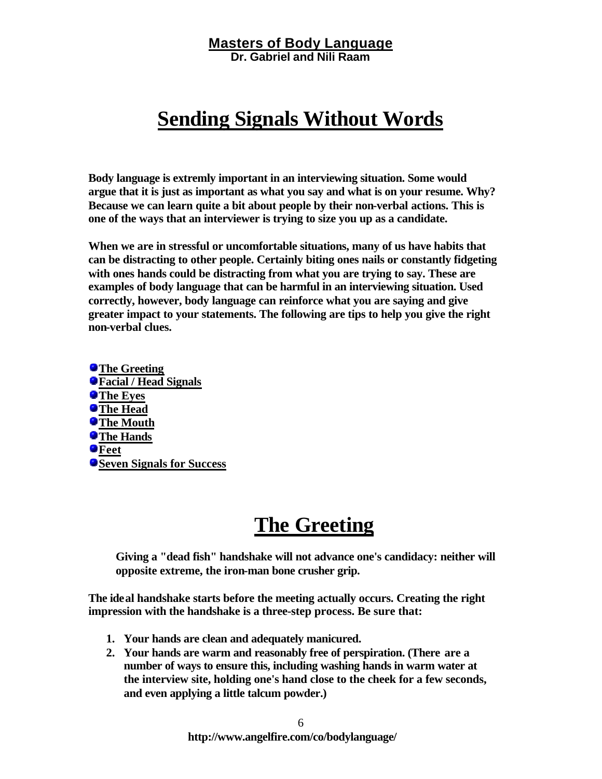## **Sending Signals Without Words**

**Body language is extremly important in an interviewing situation. Some would argue that it is just as important as what you say and what is on your resume. Why? Because we can learn quite a bit about people by their non-verbal actions. This is one of the ways that an interviewer is trying to size you up as a candidate.** 

**When we are in stressful or uncomfortable situations, many of us have habits that can be distracting to other people. Certainly biting ones nails or constantly fidgeting with ones hands could be distracting from what you are trying to say. These are examples of body language that can be harmful in an interviewing situation. Used correctly, however, body language can reinforce what you are saying and give greater impact to your statements. The following are tips to help you give the right non-verbal clues.** 

**The Greeting Facial / Head Signals O**The Eves **The Head The Mouth The Hands Feet Seven Signals for Success** 

## **The Greeting**

**Giving a "dead fish" handshake will not advance one's candidacy: neither will opposite extreme, the iron-man bone crusher grip.** 

**The ideal handshake starts before the meeting actually occurs. Creating the right impression with the handshake is a three-step process. Be sure that:** 

- **1. Your hands are clean and adequately manicured.**
- **2. Your hands are warm and reasonably free of perspiration. (There are a number of ways to ensure this, including washing hands in warm water at the interview site, holding one's hand close to the cheek for a few seconds, and even applying a little talcum powder.)**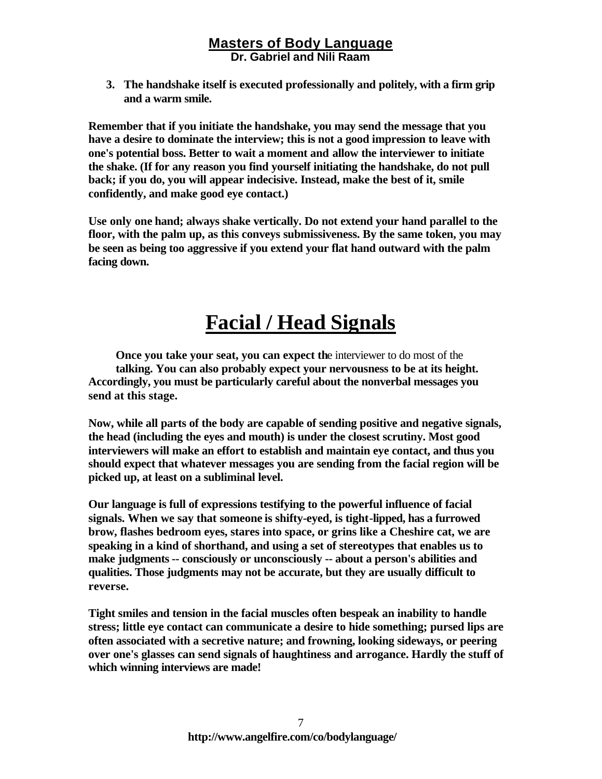**3. The handshake itself is executed professionally and politely, with a firm grip and a warm smile.** 

**Remember that if you initiate the handshake, you may send the message that you have a desire to dominate the interview; this is not a good impression to leave with one's potential boss. Better to wait a moment and allow the interviewer to initiate the shake. (If for any reason you find yourself initiating the handshake, do not pull back; if you do, you will appear indecisive. Instead, make the best of it, smile confidently, and make good eye contact.)** 

**Use only one hand; always shake vertically. Do not extend your hand parallel to the floor, with the palm up, as this conveys submissiveness. By the same token, you may be seen as being too aggressive if you extend your flat hand outward with the palm facing down.** 

## **Facial / Head Signals**

**Once you take your seat, you can expect th**e interviewer to do most of the **talking. You can also probably expect your nervousness to be at its height. Accordingly, you must be particularly careful about the nonverbal messages you send at this stage.**

**Now, while all parts of the body are capable of sending positive and negative signals, the head (including the eyes and mouth) is under the closest scrutiny. Most good interviewers will make an effort to establish and maintain eye contact, and thus you should expect that whatever messages you are sending from the facial region will be picked up, at least on a subliminal level.** 

**Our language is full of expressions testifying to the powerful influence of facial signals. When we say that someone is shifty-eyed, is tight-lipped, has a furrowed brow, flashes bedroom eyes, stares into space, or grins like a Cheshire cat, we are speaking in a kind of shorthand, and using a set of stereotypes that enables us to make judgments -- consciously or unconsciously -- about a person's abilities and qualities. Those judgments may not be accurate, but they are usually difficult to reverse.** 

**Tight smiles and tension in the facial muscles often bespeak an inability to handle stress; little eye contact can communicate a desire to hide something; pursed lips are often associated with a secretive nature; and frowning, looking sideways, or peering over one's glasses can send signals of haughtiness and arrogance. Hardly the stuff of which winning interviews are made!**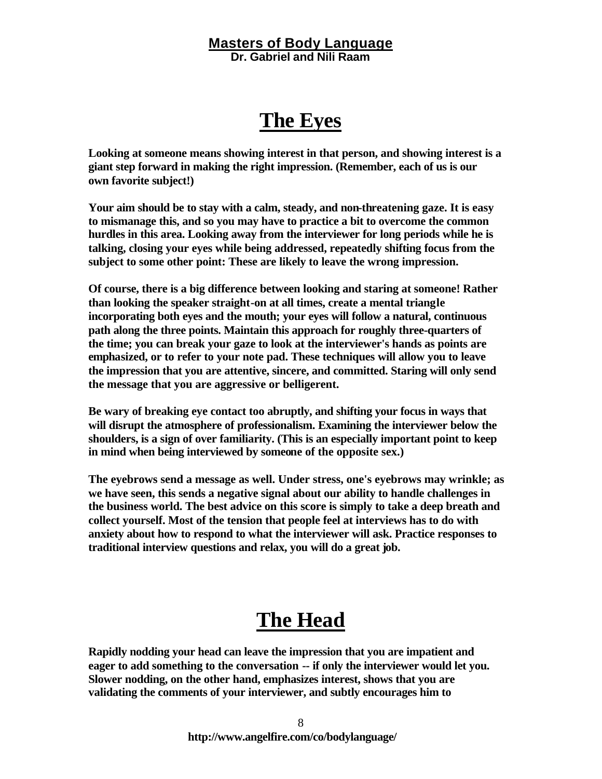### **The Eyes**

**Looking at someone means showing interest in that person, and showing interest is a giant step forward in making the right impression. (Remember, each of us is our own favorite subject!)** 

**Your aim should be to stay with a calm, steady, and non-threatening gaze. It is easy to mismanage this, and so you may have to practice a bit to overcome the common hurdles in this area. Looking away from the interviewer for long periods while he is talking, closing your eyes while being addressed, repeatedly shifting focus from the subject to some other point: These are likely to leave the wrong impression.** 

**Of course, there is a big difference between looking and staring at someone! Rather than looking the speaker straight-on at all times, create a mental triangle incorporating both eyes and the mouth; your eyes will follow a natural, continuous path along the three points. Maintain this approach for roughly three-quarters of the time; you can break your gaze to look at the interviewer's hands as points are emphasized, or to refer to your note pad. These techniques will allow you to leave the impression that you are attentive, sincere, and committed. Staring will only send the message that you are aggressive or belligerent.** 

**Be wary of breaking eye contact too abruptly, and shifting your focus in ways that will disrupt the atmosphere of professionalism. Examining the interviewer below the shoulders, is a sign of over familiarity. (This is an especially important point to keep in mind when being interviewed by someone of the opposite sex.)** 

**The eyebrows send a message as well. Under stress, one's eyebrows may wrinkle; as we have seen, this sends a negative signal about our ability to handle challenges in the business world. The best advice on this score is simply to take a deep breath and collect yourself. Most of the tension that people feel at interviews has to do with anxiety about how to respond to what the interviewer will ask. Practice responses to traditional interview questions and relax, you will do a great job.** 

## **The Head**

**Rapidly nodding your head can leave the impression that you are impatient and eager to add something to the conversation -- if only the interviewer would let you. Slower nodding, on the other hand, emphasizes interest, shows that you are validating the comments of your interviewer, and subtly encourages him to**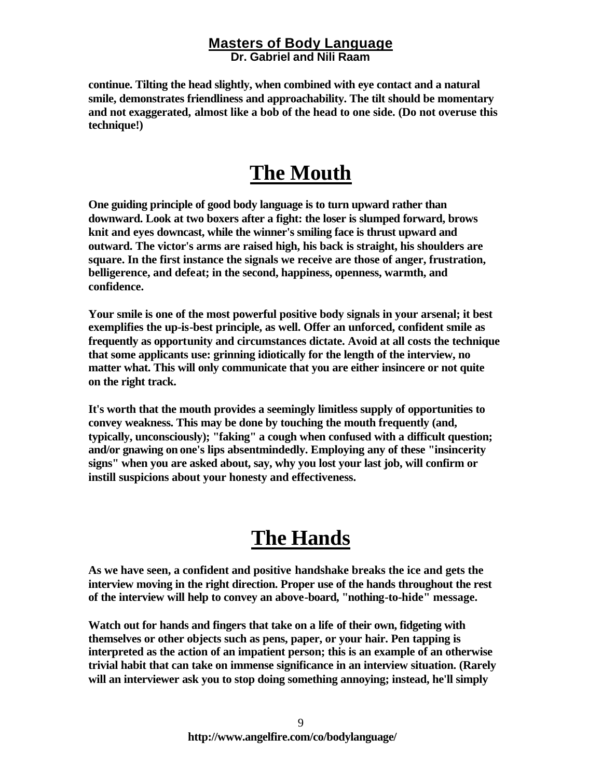**continue. Tilting the head slightly, when combined with eye contact and a natural smile, demonstrates friendliness and approachability. The tilt should be momentary and not exaggerated, almost like a bob of the head to one side. (Do not overuse this technique!)** 

## **The Mouth**

**One guiding principle of good body language is to turn upward rather than downward. Look at two boxers after a fight: the loser is slumped forward, brows knit and eyes downcast, while the winner's smiling face is thrust upward and outward. The victor's arms are raised high, his back is straight, his shoulders are square. In the first instance the signals we receive are those of anger, frustration, belligerence, and defeat; in the second, happiness, openness, warmth, and confidence.** 

**Your smile is one of the most powerful positive body signals in your arsenal; it best exemplifies the up-is-best principle, as well. Offer an unforced, confident smile as frequently as opportunity and circumstances dictate. Avoid at all costs the technique that some applicants use: grinning idiotically for the length of the interview, no matter what. This will only communicate that you are either insincere or not quite on the right track.** 

**It's worth that the mouth provides a seemingly limitless supply of opportunities to convey weakness. This may be done by touching the mouth frequently (and, typically, unconsciously); "faking" a cough when confused with a difficult question; and/or gnawing on one's lips absentmindedly. Employing any of these "insincerity signs" when you are asked about, say, why you lost your last job, will confirm or instill suspicions about your honesty and effectiveness.** 

### **The Hands**

**As we have seen, a confident and positive handshake breaks the ice and gets the interview moving in the right direction. Proper use of the hands throughout the rest of the interview will help to convey an above-board, "nothing-to-hide" message.** 

**Watch out for hands and fingers that take on a life of their own, fidgeting with themselves or other objects such as pens, paper, or your hair. Pen tapping is interpreted as the action of an impatient person; this is an example of an otherwise trivial habit that can take on immense significance in an interview situation. (Rarely will an interviewer ask you to stop doing something annoying; instead, he'll simply**